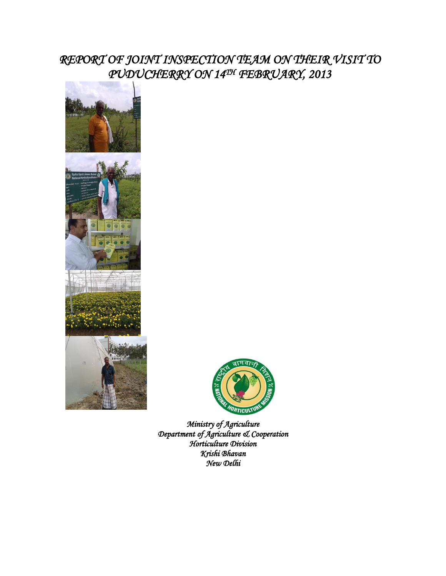# *REPORT OF JOINT INSPECTION TEAM ON THEIR VISIT TO PUDUCHERRY ON 14TH FEBRUARY, 2013*





*Ministry of Agriculture Department of Agriculture & Cooperation Horticulture Division Krishi Bhavan New Delhi*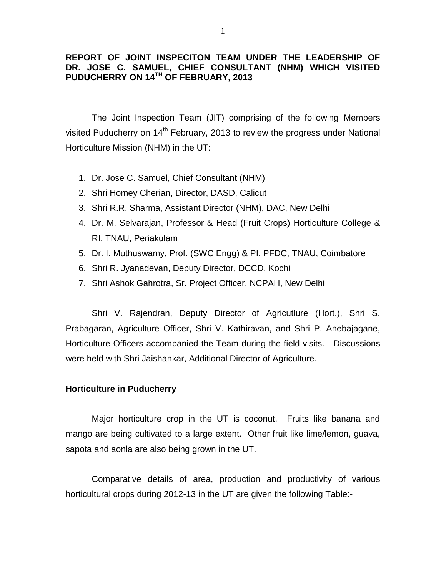### **REPORT OF JOINT INSPECITON TEAM UNDER THE LEADERSHIP OF DR. JOSE C. SAMUEL, CHIEF CONSULTANT (NHM) WHICH VISITED PUDUCHERRY ON 14TH OF FEBRUARY, 2013**

The Joint Inspection Team (JIT) comprising of the following Members visited Puducherry on 14<sup>th</sup> February, 2013 to review the progress under National Horticulture Mission (NHM) in the UT:

- 1. Dr. Jose C. Samuel, Chief Consultant (NHM)
- 2. Shri Homey Cherian, Director, DASD, Calicut
- 3. Shri R.R. Sharma, Assistant Director (NHM), DAC, New Delhi
- 4. Dr. M. Selvarajan, Professor & Head (Fruit Crops) Horticulture College & RI, TNAU, Periakulam
- 5. Dr. I. Muthuswamy, Prof. (SWC Engg) & PI, PFDC, TNAU, Coimbatore
- 6. Shri R. Jyanadevan, Deputy Director, DCCD, Kochi
- 7. Shri Ashok Gahrotra, Sr. Project Officer, NCPAH, New Delhi

Shri V. Rajendran, Deputy Director of Agricutlure (Hort.), Shri S. Prabagaran, Agriculture Officer, Shri V. Kathiravan, and Shri P. Anebajagane, Horticulture Officers accompanied the Team during the field visits. Discussions were held with Shri Jaishankar, Additional Director of Agriculture.

#### **Horticulture in Puducherry**

Major horticulture crop in the UT is coconut. Fruits like banana and mango are being cultivated to a large extent. Other fruit like lime/lemon, guava, sapota and aonla are also being grown in the UT.

Comparative details of area, production and productivity of various horticultural crops during 2012-13 in the UT are given the following Table:-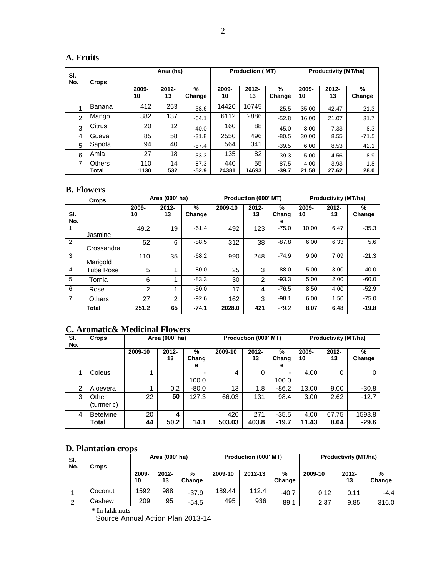## **A. Fruits**

| SI.            |               | Area (ha)   |                |             | <b>Production (MT)</b> |                |             | <b>Productivity (MT/ha)</b> |                |             |
|----------------|---------------|-------------|----------------|-------------|------------------------|----------------|-------------|-----------------------------|----------------|-------------|
| No.            | Crops         | 2009-<br>10 | $2012 -$<br>13 | %<br>Change | 2009-<br>10            | $2012 -$<br>13 | %<br>Change | 2009-<br>10                 | $2012 -$<br>13 | %<br>Change |
| и              | Banana        | 412         | 253            | $-38.6$     | 14420                  | 10745          | $-25.5$     | 35.00                       | 42.47          | 21.3        |
| $\overline{2}$ | Mango         | 382         | 137            | $-64.1$     | 6112                   | 2886           | $-52.8$     | 16.00                       | 21.07          | 31.7        |
| 3              | Citrus        | 20          | 12             | $-40.0$     | 160                    | 88             | $-45.0$     | 8.00                        | 7.33           | $-8.3$      |
| 4              | Guava         | 85          | 58             | $-31.8$     | 2550                   | 496            | $-80.5$     | 30.00                       | 8.55           | $-71.5$     |
| 5              | Sapota        | 94          | 40             | $-57.4$     | 564                    | 341            | $-39.5$     | 6.00                        | 8.53           | 42.1        |
| 6              | Amla          | 27          | 18             | $-33.3$     | 135                    | 82             | $-39.3$     | 5.00                        | 4.56           | $-8.9$      |
| 7              | <b>Others</b> | 110         | 14             | $-87.3$     | 440                    | 55             | $-87.5$     | 4.00                        | 3.93           | $-1.8$      |
|                | Total         | 1130        | 532            | $-52.9$     | 24381                  | 14693          | $-39.7$     | 21.58                       | 27.62          | 28.0        |

### **B. Flowers**

|                | <b>Crops</b>     | Area (000' ha) |                |             |         | Production (000' MT) |                 | <b>Productivity (MT/ha)</b> |                |             |
|----------------|------------------|----------------|----------------|-------------|---------|----------------------|-----------------|-----------------------------|----------------|-------------|
| SI.<br>No.     |                  | 2009-<br>10    | $2012 -$<br>13 | %<br>Change | 2009-10 | $2012 -$<br>13       | %<br>Chang<br>е | 2009-<br>10                 | $2012 -$<br>13 | %<br>Change |
|                | Jasmine          | 49.2           | 19             | $-61.4$     | 492     | 123                  | $-75.0$         | 10.00                       | 6.47           | $-35.3$     |
| $\overline{2}$ | Crossandra       | 52             | 6              | $-88.5$     | 312     | 38                   | $-87.8$         | 6.00                        | 6.33           | 5.6         |
| 3              | Marigold         | 110            | 35             | $-68.2$     | 990     | 248                  | $-74.9$         | 9.00                        | 7.09           | $-21.3$     |
| $\overline{4}$ | <b>Tube Rose</b> | 5              |                | $-80.0$     | 25      | 3                    | $-88.0$         | 5.00                        | 3.00           | $-40.0$     |
| 5              | Tornia           | 6              | 1              | $-83.3$     | 30      | $\overline{2}$       | $-93.3$         | 5.00                        | 2.00           | $-60.0$     |
| 6              | Rose             | $\overline{2}$ | 1              | $-50.0$     | 17      | 4                    | $-76.5$         | 8.50                        | 4.00           | $-52.9$     |
| $\overline{7}$ | <b>Others</b>    | 27             | $\overline{2}$ | $-92.6$     | 162     | 3                    | $-98.1$         | 6.00                        | 1.50           | $-75.0$     |
|                | <b>Total</b>     | 251.2          | 65             | $-74.1$     | 2028.0  | 421                  | $-79.2$         | 8.07                        | 6.48           | $-19.8$     |

## **C. Aromatic& Medicinal Flowers**

| SI.<br>No. | <b>Crops</b>        | Area (000' ha) |                |                 | Production (000' MT) |             |                 | <b>Productivity (MT/ha)</b> |                |                |
|------------|---------------------|----------------|----------------|-----------------|----------------------|-------------|-----------------|-----------------------------|----------------|----------------|
|            |                     | 2009-10        | $2012 -$<br>13 | %<br>Chang<br>е | 2009-10              | 2012-<br>13 | %<br>Chang<br>е | 2009-<br>10                 | $2012 -$<br>13 | $\%$<br>Change |
| 1          | Coleus              |                |                | 100.0           | 4                    | 0           | 100.0           | 4.00                        | 0              | 0              |
| 2          | Aloevera            |                | 0.2            | $-80.0$         | 13                   | 1.8         | $-86.2$         | 13.00                       | 9.00           | $-30.8$        |
| 3          | Other<br>(turmeric) | 22             | 50             | 127.3           | 66.03                | 131         | 98.4            | 3.00                        | 2.62           | $-12.7$        |
| 4          | <b>Betelvine</b>    | 20             | 4              |                 | 420                  | 271         | $-35.5$         | 4.00                        | 67.75          | 1593.8         |
|            | Total               | 44             | 50.2           | 14.1            | 503.03               | 403.8       | $-19.7$         | 11.43                       | 8.04           | $-29.6$        |

## **D. Plantation crops**

| SI.<br>No. | Crops   | Area (000' ha) |                |             |         | Production (000' MT) |             | <b>Productivity (MT/ha)</b> |                |             |
|------------|---------|----------------|----------------|-------------|---------|----------------------|-------------|-----------------------------|----------------|-------------|
|            |         | 2009-<br>10    | $2012 -$<br>13 | %<br>Change | 2009-10 | 2012-13              | %<br>Change | 2009-10                     | $2012 -$<br>13 | %<br>Change |
|            | Coconut | 1592           | 988            | $-37.9$     | 189.44  | 112.4                | $-40.7$     | 0.12                        | 0.11           | $-4.4$      |
|            | Cashew  | 209            | 95             | $-54.5$     | 495     | 936                  | 89.1        | 2.37                        | 9.85           | 316.0       |

**\* In lakh nuts**

Source Annual Action Plan 2013-14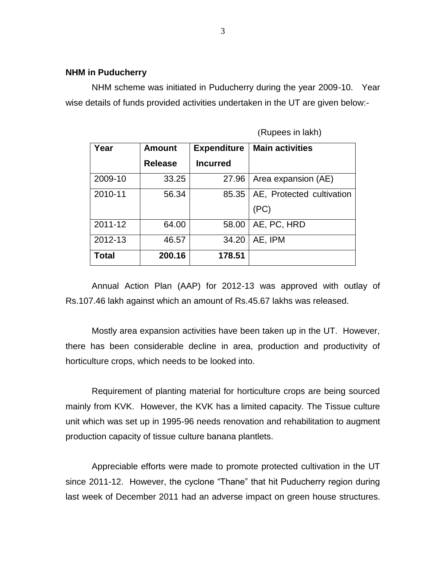#### **NHM in Puducherry**

NHM scheme was initiated in Puducherry during the year 2009-10. Year wise details of funds provided activities undertaken in the UT are given below:-

| Year    | <b>Amount</b>  | <b>Expenditure</b> | <b>Main activities</b>    |  |  |
|---------|----------------|--------------------|---------------------------|--|--|
|         | <b>Release</b> | <b>Incurred</b>    |                           |  |  |
| 2009-10 | 33.25          | 27.96              | Area expansion (AE)       |  |  |
| 2010-11 | 56.34          | 85.35              | AE, Protected cultivation |  |  |
|         |                |                    | (PC)                      |  |  |
| 2011-12 | 64.00          | 58.00              | AE, PC, HRD               |  |  |
| 2012-13 | 46.57          | 34.20              | AE, IPM                   |  |  |
| Total   | 200.16         | 178.51             |                           |  |  |

(Rupees in lakh)

Annual Action Plan (AAP) for 2012-13 was approved with outlay of Rs.107.46 lakh against which an amount of Rs.45.67 lakhs was released.

Mostly area expansion activities have been taken up in the UT. However, there has been considerable decline in area, production and productivity of horticulture crops, which needs to be looked into.

Requirement of planting material for horticulture crops are being sourced mainly from KVK. However, the KVK has a limited capacity. The Tissue culture unit which was set up in 1995-96 needs renovation and rehabilitation to augment production capacity of tissue culture banana plantlets.

Appreciable efforts were made to promote protected cultivation in the UT since 2011-12. However, the cyclone "Thane" that hit Puducherry region during last week of December 2011 had an adverse impact on green house structures.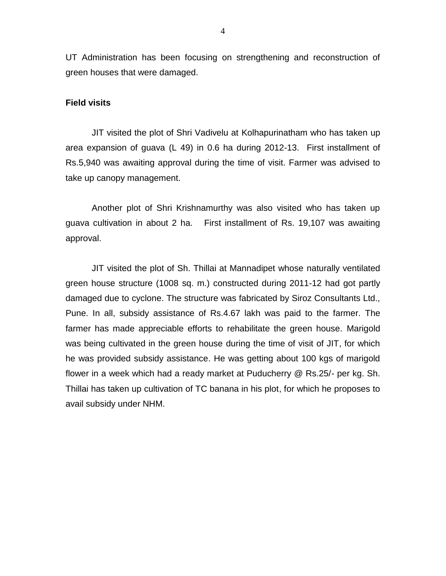UT Administration has been focusing on strengthening and reconstruction of green houses that were damaged.

#### **Field visits**

JIT visited the plot of Shri Vadivelu at Kolhapurinatham who has taken up area expansion of guava (L 49) in 0.6 ha during 2012-13. First installment of Rs.5,940 was awaiting approval during the time of visit. Farmer was advised to take up canopy management.

Another plot of Shri Krishnamurthy was also visited who has taken up guava cultivation in about 2 ha. First installment of Rs. 19,107 was awaiting approval.

JIT visited the plot of Sh. Thillai at Mannadipet whose naturally ventilated green house structure (1008 sq. m.) constructed during 2011-12 had got partly damaged due to cyclone. The structure was fabricated by Siroz Consultants Ltd., Pune. In all, subsidy assistance of Rs.4.67 lakh was paid to the farmer. The farmer has made appreciable efforts to rehabilitate the green house. Marigold was being cultivated in the green house during the time of visit of JIT, for which he was provided subsidy assistance. He was getting about 100 kgs of marigold flower in a week which had a ready market at Puducherry @ Rs.25/- per kg. Sh. Thillai has taken up cultivation of TC banana in his plot, for which he proposes to avail subsidy under NHM.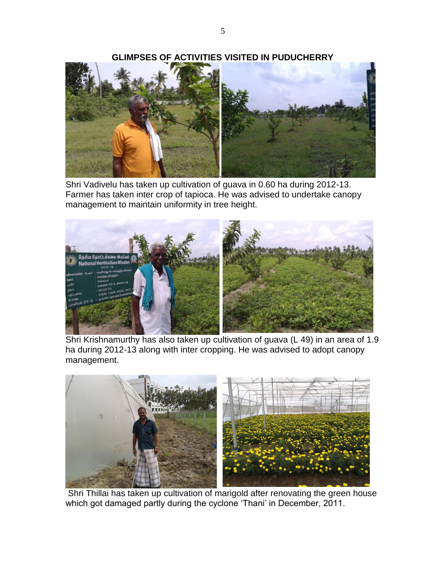



Shri Vadivelu has taken up cultivation of guava in 0.60 ha during 2012-13. Farmer has taken inter crop of tapioca. He was advised to undertake canopy management to maintain uniformity in tree height.



Shri Krishnamurthy has also taken up cultivation of guava (L 49) in an area of 1.9 ha during 2012-13 along with inter cropping. He was advised to adopt canopy management.



Shri Thillai has taken up cultivation of marigold after renovating the green house which got damaged partly during the cyclone 'Thani' in December, 2011.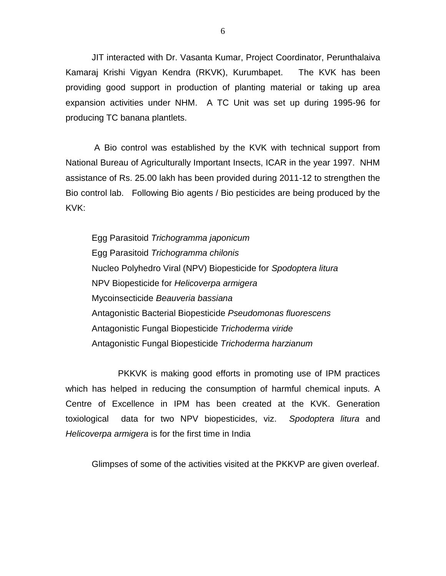JIT interacted with Dr. Vasanta Kumar, Project Coordinator, Perunthalaiva Kamaraj Krishi Vigyan Kendra (RKVK), Kurumbapet. The KVK has been providing good support in production of planting material or taking up area expansion activities under NHM. A TC Unit was set up during 1995-96 for producing TC banana plantlets.

A Bio control was established by the KVK with technical support from National Bureau of Agriculturally Important Insects, ICAR in the year 1997. NHM assistance of Rs. 25.00 lakh has been provided during 2011-12 to strengthen the Bio control lab. Following Bio agents / Bio pesticides are being produced by the KVK:

Egg Parasitoid *Trichogramma japonicum* Egg Parasitoid *Trichogramma chilonis* Nucleo Polyhedro Viral (NPV) Biopesticide for *Spodoptera litura* NPV Biopesticide for *Helicoverpa armigera* Mycoinsecticide *Beauveria bassiana* Antagonistic Bacterial Biopesticide *Pseudomonas fluorescens* Antagonistic Fungal Biopesticide *Trichoderma viride* Antagonistic Fungal Biopesticide *Trichoderma harzianum*

PKKVK is making good efforts in promoting use of IPM practices which has helped in reducing the consumption of harmful chemical inputs. A Centre of Excellence in IPM has been created at the KVK. Generation toxiological data for two NPV biopesticides, viz. *Spodoptera litura* and *Helicoverpa armigera* is for the first time in India

Glimpses of some of the activities visited at the PKKVP are given overleaf.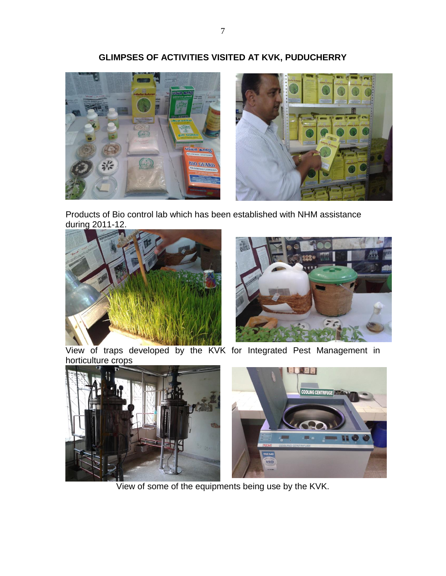

Products of Bio control lab which has been established with NHM assistance during 2011-12.





View of traps developed by the KVK for Integrated Pest Management in horticulture crops



View of some of the equipments being use by the KVK.

# **GLIMPSES OF ACTIVITIES VISITED AT KVK, PUDUCHERRY**